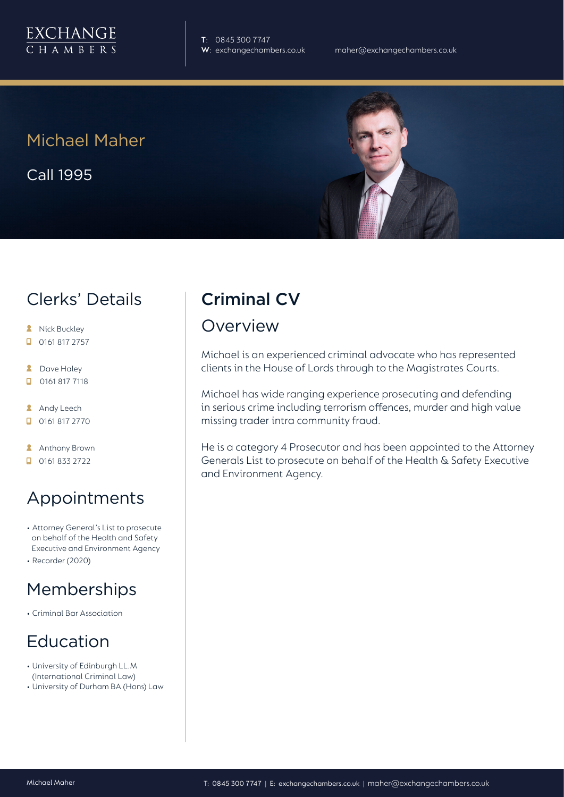

**T**: 0845 300 7747

Michael Maher

Call 1995

#### Clerks' Details

- **A** Nick Buckley
- $\Box$  0161 817 2757
- **2** Dave Haley
- $\Box$ 0161 817 7118
- **Andy Leech**
- 0161 817 2770
- **Anthony Brown**
- $\Box$  0161 833 2722

# Appointments

- Attorney General's List to prosecute on behalf of the Health and Safety Executive and Environment Agency
- Recorder (2020)

#### Memberships

• Criminal Bar Association

# Education

- University of Edinburgh LL.M (International Criminal Law)
- University of Durham BA (Hons) Law

# Criminal CV

#### Overview

Michael is an experienced criminal advocate who has represented clients in the House of Lords through to the Magistrates Courts.

Michael has wide ranging experience prosecuting and defending in serious crime including terrorism offences, murder and high value missing trader intra community fraud.

He is a category 4 Prosecutor and has been appointed to the Attorney Generals List to prosecute on behalf of the Health & Safety Executive and Environment Agency.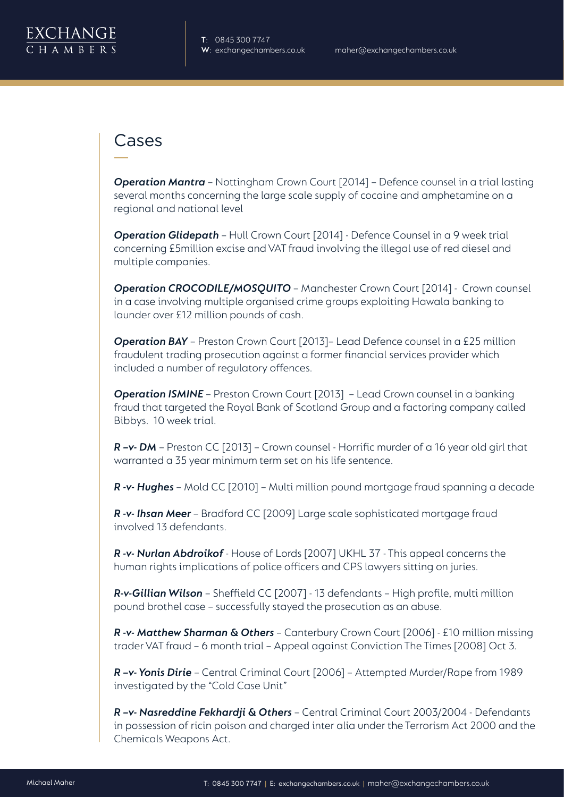

#### Cases

*Operation Mantra* – Nottingham Crown Court [2014] – Defence counsel in a trial lasting several months concerning the large scale supply of cocaine and amphetamine on a regional and national level

*Operation Glidepath* – Hull Crown Court [2014] - Defence Counsel in a 9 week trial concerning £5million excise and VAT fraud involving the illegal use of red diesel and multiple companies.

*Operation CROCODILE/MOSQUITO* – Manchester Crown Court [2014] - Crown counsel in a case involving multiple organised crime groups exploiting Hawala banking to launder over £12 million pounds of cash.

*Operation BAY* – Preston Crown Court [2013]– Lead Defence counsel in a £25 million fraudulent trading prosecution against a former financial services provider which included a number of regulatory offences.

**Operation ISMINE** – Preston Crown Court [2013] – Lead Crown counsel in a banking fraud that targeted the Royal Bank of Scotland Group and a factoring company called Bibbys. 10 week trial.

*R –v- DM* – Preston CC [2013] – Crown counsel - Horrific murder of a 16 year old girl that warranted a 35 year minimum term set on his life sentence.

*R -v- Hughes* – Mold CC [2010] – Multi million pound mortgage fraud spanning a decade

*R -v- Ihsan Meer* – Bradford CC [2009] Large scale sophisticated mortgage fraud involved 13 defendants.

*R -v- Nurlan Abdroikof* - House of Lords [2007] UKHL 37 - This appeal concerns the human rights implications of police officers and CPS lawyers sitting on juries.

*R-v-Gillian Wilson* – Sheffield CC [2007] - 13 defendants – High profile, multi million pound brothel case – successfully stayed the prosecution as an abuse.

*R -v- Matthew Sharman & Others* – Canterbury Crown Court [2006] - £10 million missing trader VAT fraud – 6 month trial – Appeal against Conviction The Times [2008] Oct 3.

*R –v- Yonis Dirie* – Central Criminal Court [2006] – Attempted Murder/Rape from 1989 investigated by the "Cold Case Unit"

*R –v- Nasreddine Fekhardji & Others* – Central Criminal Court 2003/2004 - Defendants in possession of ricin poison and charged inter alia under the Terrorism Act 2000 and the Chemicals Weapons Act.